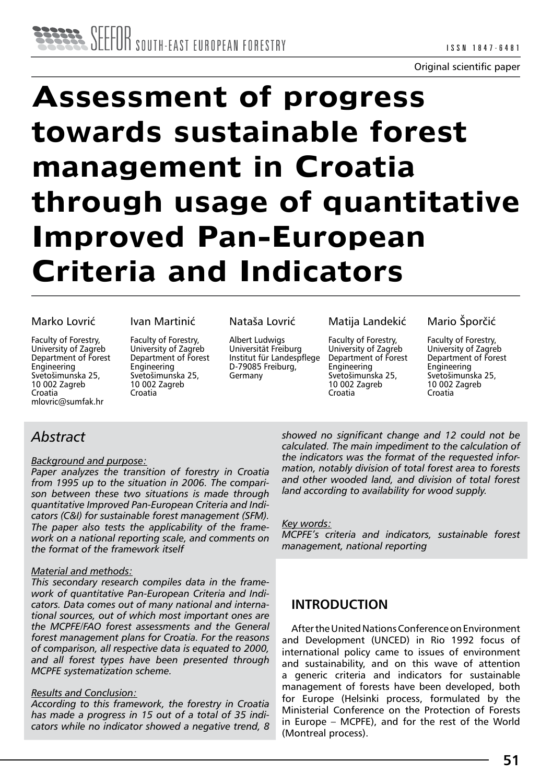Original scientific paper

# **Assessment of progress towards sustainable forest management in Croatia through usage of quantitative Improved Pan-European Criteria and Indicators**

#### Marko Lovrić

Faculty of Forestry, University of Zagreb Department of Forest Engineering Svetošimunska 25, 10 002 Zagreb Croatia mlovric@sumfak.hr

#### Ivan Martinić

Faculty of Forestry, University of Zagreb Department of Forest **Engineering** Svetošimunska 25, 10 002 Zagreb Croatia

#### Nataša Lovrić

Albert Ludwigs Universität Freiburg Institut für Landespflege D-79085 Freiburg, Germany

#### Matija Landekić

Faculty of Forestry, University of Zagreb Department of Forest Engineering Svetošimunska 25, 10 002 Zagreb Croatia

#### Mario Šporčić

Faculty of Forestry, University of Zagreb Department of Forest Engineering Svetošimunska 25, 10 002 Zagreb Croatia

## *Abstract*

#### *Background and purpose:*

*Paper analyzes the transition of forestry in Croatia from 1995 up to the situation in 2006. The comparison between these two situations is made through quantitative Improved Pan-European Criteria and Indicators (C&I) for sustainable forest management (SFM). The paper also tests the applicability of the framework on a national reporting scale, and comments on the format of the framework itself*

#### *Material and methods:*

*This secondary research compiles data in the framework of quantitative Pan-European Criteria and Indicators. Data comes out of many national and international sources, out of which most important ones are the MCPFE/FAO forest assessments and the General forest management plans for Croatia. For the reasons of comparison, all respective data is equated to 2000, and all forest types have been presented through MCPFE systematization scheme.*

#### *Results and Conclusion:*

*According to this framework, the forestry in Croatia has made a progress in 15 out of a total of 35 indicators while no indicator showed a negative trend, 8*  *showed no significant change and 12 could not be calculated. The main impediment to the calculation of the indicators was the format of the requested information, notably division of total forest area to forests and other wooded land, and division of total forest land according to availability for wood supply.*

#### *Key words:*

*MCPFE's criteria and indicators, sustainable forest management, national reporting*

## **INTRODUCTION**

After the United Nations Conference on Environment and Development (UNCED) in Rio 1992 focus of international policy came to issues of environment and sustainability, and on this wave of attention a generic criteria and indicators for sustainable management of forests have been developed, both for Europe (Helsinki process, formulated by the Ministerial Conference on the Protection of Forests in Europe – MCPFE), and for the rest of the World (Montreal process).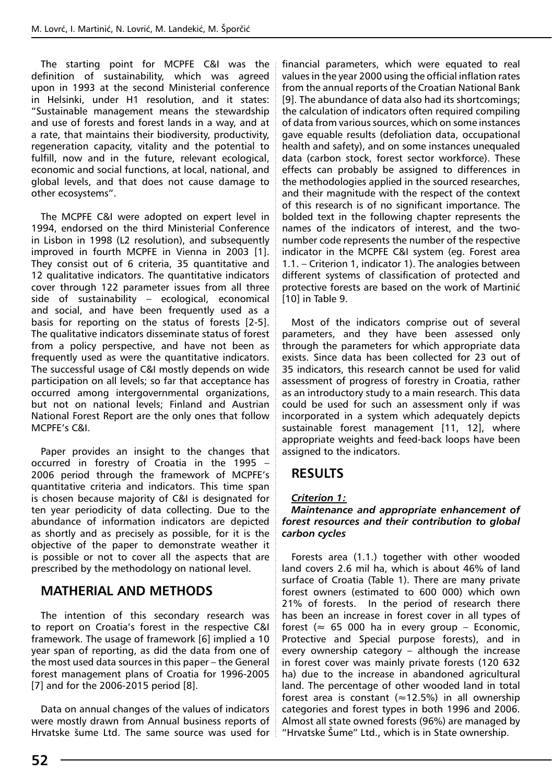The starting point for MCPFE C&I was the definition of sustainability, which was agreed upon in 1993 at the second Ministerial conference in Helsinki, under H1 resolution, and it states: "Sustainable management means the stewardship and use of forests and forest lands in a way, and at a rate, that maintains their biodiversity, productivity, regeneration capacity, vitality and the potential to fulfill, now and in the future, relevant ecological, economic and social functions, at local, national, and global levels, and that does not cause damage to other ecosystems".

The MCPFE C&I were adopted on expert level in 1994, endorsed on the third Ministerial Conference in Lisbon in 1998 (L2 resolution), and subsequently improved in fourth MCPFE in Vienna in 2003 [1]. They consist out of 6 criteria, 35 quantitative and 12 qualitative indicators. The quantitative indicators cover through 122 parameter issues from all three side of sustainability – ecological, economical and social, and have been frequently used as a basis for reporting on the status of forests [2-5]. The qualitative indicators disseminate status of forest from a policy perspective, and have not been as frequently used as were the quantitative indicators. The successful usage of C&I mostly depends on wide participation on all levels; so far that acceptance has occurred among intergovernmental organizations, but not on national levels; Finland and Austrian National Forest Report are the only ones that follow MCPFE's C&I.

Paper provides an insight to the changes that occurred in forestry of Croatia in the 1995 – 2006 period through the framework of MCPFE's quantitative criteria and indicators. This time span is chosen because majority of C&I is designated for ten year periodicity of data collecting. Due to the abundance of information indicators are depicted as shortly and as precisely as possible, for it is the objective of the paper to demonstrate weather it is possible or not to cover all the aspects that are prescribed by the methodology on national level.

## **MATHERIAL AND METHODS**

The intention of this secondary research was to report on Croatia's forest in the respective C&I framework. The usage of framework [6] implied a 10 year span of reporting, as did the data from one of the most used data sources in this paper – the General forest management plans of Croatia for 1996-2005 [7] and for the 2006-2015 period [8].

Data on annual changes of the values of indicators were mostly drawn from Annual business reports of Hrvatske šume Ltd. The same source was used for financial parameters, which were equated to real values in the year 2000 using the official inflation rates from the annual reports of the Croatian National Bank [9]. The abundance of data also had its shortcomings; the calculation of indicators often required compiling of data from various sources, which on some instances gave equable results (defoliation data, occupational health and safety), and on some instances unequaled data (carbon stock, forest sector workforce). These effects can probably be assigned to differences in the methodologies applied in the sourced researches, and their magnitude with the respect of the context of this research is of no significant importance. The bolded text in the following chapter represents the names of the indicators of interest, and the twonumber code represents the number of the respective indicator in the MCPFE C&I system (eg. Forest area 1.1. – Criterion 1, indicator 1). The analogies between different systems of classification of protected and protective forests are based on the work of Martinić [10] in Table 9.

Most of the indicators comprise out of several parameters, and they have been assessed only through the parameters for which appropriate data exists. Since data has been collected for 23 out of 35 indicators, this research cannot be used for valid assessment of progress of forestry in Croatia, rather as an introductory study to a main research. This data could be used for such an assessment only if was incorporated in a system which adequately depicts sustainable forest management [11, 12], where appropriate weights and feed-back loops have been assigned to the indicators.

## **RESULTS**

#### *Criterion 1:*

#### *Maintenance and appropriate enhancement of forest resources and their contribution to global carbon cycles*

Forests area (1.1.) together with other wooded land covers 2.6 mil ha, which is about 46% of land surface of Croatia (Table 1). There are many private forest owners (estimated to 600 000) which own 21% of forests. In the period of research there has been an increase in forest cover in all types of forest ( $\approx$  65 000 ha in every group – Economic, Protective and Special purpose forests), and in every ownership category – although the increase in forest cover was mainly private forests (120 632 ha) due to the increase in abandoned agricultural land. The percentage of other wooded land in total forest area is constant ( $\approx$ 12.5%) in all ownership categories and forest types in both 1996 and 2006. Almost all state owned forests (96%) are managed by "Hrvatske Šume" Ltd., which is in State ownership.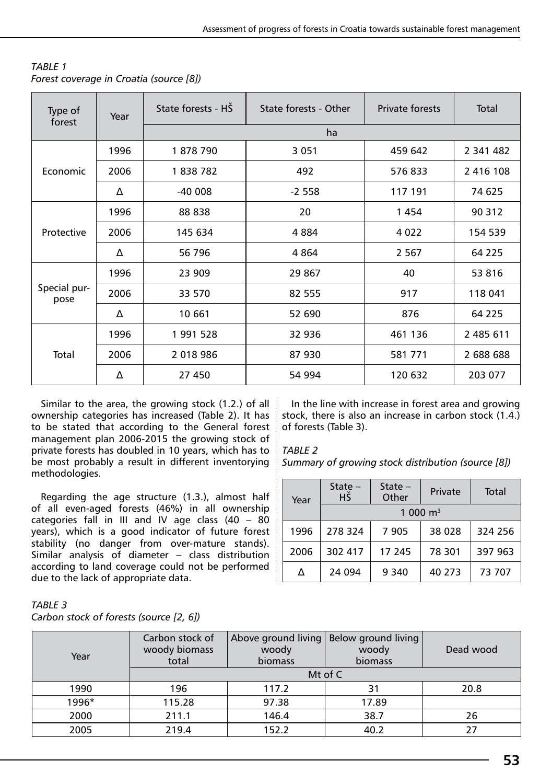| <b>TABLE 1</b>                          |  |
|-----------------------------------------|--|
| Forest coverage in Croatia (source [8]) |  |

| Type of<br>forest    | Year           | State forests - HŠ | State forests - Other | <b>Private forests</b> | Total     |
|----------------------|----------------|--------------------|-----------------------|------------------------|-----------|
|                      |                |                    | ha                    |                        |           |
|                      | 1996           | 1878790            | 3 0 5 1               | 459 642                | 2 341 482 |
| <b>Economic</b>      | 2006           | 1838782            | 492                   | 576833                 | 2 416 108 |
|                      | Δ              | $-40008$           | $-2558$               | 117 191                | 74 625    |
|                      | 1996<br>88 838 |                    | 20                    | 1454                   | 90 312    |
| Protective           | 2006           | 145 634            | 4884                  | 4 0 2 2                | 154 539   |
|                      | Δ              | 56 796             | 4864                  | 2 5 6 7                | 64 225    |
|                      | 1996           | 23 909             | 29 867                | 40                     | 53 816    |
| Special pur-<br>pose | 2006           | 33 570             | 82 555                | 917                    | 118 041   |
|                      | Δ              | 10 661             | 52 690                | 876                    | 64 2 2 5  |
|                      | 1996           | 1991528            | 32 936                | 461 136                | 2 485 611 |
| Total                | 2006           | 2 018 986          | 87 930                | 581 771                | 2 688 688 |
|                      | Δ              | 27 450             | 54 994                | 120 632                | 203 077   |

Similar to the area, the growing stock (1.2.) of all ownership categories has increased (Table 2). It has to be stated that according to the General forest management plan 2006-2015 the growing stock of private forests has doubled in 10 years, which has to be most probably a result in different inventorying methodologies.

Regarding the age structure (1.3.), almost half of all even-aged forests (46%) in all ownership categories fall in III and IV age class (40 – 80 years), which is a good indicator of future forest stability (no danger from over-mature stands). Similar analysis of diameter – class distribution according to land coverage could not be performed due to the lack of appropriate data.

In the line with increase in forest area and growing stock, there is also an increase in carbon stock (1.4.) of forests (Table 3).

#### *Table 2*

*Summary of growing stock distribution (source [8])*

| Year | State $-$<br>HŠ | State $-$<br>Other |                      | Total   |
|------|-----------------|--------------------|----------------------|---------|
|      |                 |                    | 1 000 $\mathrm{m}^3$ |         |
| 1996 | 278324          | 7 9 0 5            | 38 0 28              | 324 256 |
| 2006 | 302 417         | 17 245             | 78 301               | 397 963 |
| Δ    | 24 094          | 9 3 4 0            | 40 273               | 73 707  |

| TABLE 3                                 |  |
|-----------------------------------------|--|
| Carbon stock of forests (source [2, 6]) |  |

| Year  | Carbon stock of<br>woody biomass<br>total | woody<br>biomass | Above ground living   Below ground living<br>woody<br>biomass | Dead wood |
|-------|-------------------------------------------|------------------|---------------------------------------------------------------|-----------|
|       |                                           |                  | Mt of $C$                                                     |           |
| 1990  | 196                                       | 117.2            | 31                                                            | 20.8      |
| 1996* | 115.28                                    | 97.38            | 17.89                                                         |           |
| 2000  | 211.1                                     | 146.4            | 38.7                                                          | 26        |
| 2005  | 219.4                                     | 152.2            | 40.2                                                          | 77        |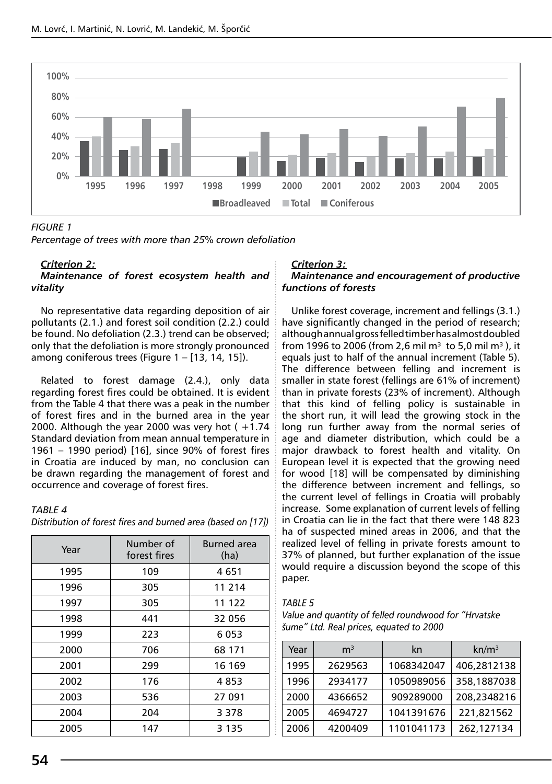

#### *Figure 1*

*Percentage of trees with more than 25% crown defoliation*

#### *Criterion 2:*

#### *Maintenance of forest ecosystem health and vitality*

No representative data regarding deposition of air pollutants (2.1.) and forest soil condition (2.2.) could be found. No defoliation (2.3.) trend can be observed; only that the defoliation is more strongly pronounced among coniferous trees (Figure 1 – [13, 14, 15]).

Related to forest damage (2.4.), only data regarding forest fires could be obtained. It is evident from the Table 4 that there was a peak in the number of forest fires and in the burned area in the year 2000. Although the year 2000 was very hot  $( +1.74)$ Standard deviation from mean annual temperature in 1961 – 1990 period) [16], since 90% of forest fires in Croatia are induced by man, no conclusion can be drawn regarding the management of forest and occurrence and coverage of forest fires.

#### *Table 4 Distribution of forest fires and burned area (based on [17])*

| Year | Number of<br>forest fires | <b>Burned</b> area<br>(ha) |
|------|---------------------------|----------------------------|
| 1995 | 109                       | 4 651                      |
| 1996 | 305                       | 11 214                     |
| 1997 | 305                       | 11 122                     |
| 1998 | 441                       | 32 056                     |
| 1999 | 223                       | 6053                       |
| 2000 | 706                       | 68 171                     |
| 2001 | 299                       | 16 169                     |
| 2002 | 176                       | 4853                       |
| 2003 | 536                       | 27 091                     |
| 2004 | 204                       | 3 3 7 8                    |
| 2005 | 147                       | 3 1 3 5                    |

#### *Criterion 3: Maintenance and encouragement of productive functions of forests*

Unlike forest coverage, increment and fellings (3.1.) have significantly changed in the period of research; although annual gross felled timber has almost doubled from 1996 to 2006 (from 2,6 mil m<sup>3</sup> to 5,0 mil m<sup>3</sup>), it equals just to half of the annual increment (Table 5). The difference between felling and increment is smaller in state forest (fellings are 61% of increment) than in private forests (23% of increment). Although that this kind of felling policy is sustainable in the short run, it will lead the growing stock in the long run further away from the normal series of age and diameter distribution, which could be a major drawback to forest health and vitality. On European level it is expected that the growing need for wood [18] will be compensated by diminishing the difference between increment and fellings, so the current level of fellings in Croatia will probably increase. Some explanation of current levels of felling in Croatia can lie in the fact that there were 148 823 ha of suspected mined areas in 2006, and that the realized level of felling in private forests amount to 37% of planned, but further explanation of the issue would require a discussion beyond the scope of this paper.

#### *Table 5*

| Value and quantity of felled roundwood for "Hrvatske |
|------------------------------------------------------|
| šume" Ltd. Real prices, equated to 2000              |

| m <sup>3</sup><br>Year |         | kn         | $kn/m^3$    |
|------------------------|---------|------------|-------------|
| 1995                   | 2629563 | 1068342047 | 406,2812138 |
| 1996                   | 2934177 | 1050989056 | 358,1887038 |
| 2000                   | 4366652 | 909289000  | 208,2348216 |
| 2005                   | 4694727 | 1041391676 | 221,821562  |
| 2006                   | 4200409 | 1101041173 | 262,127134  |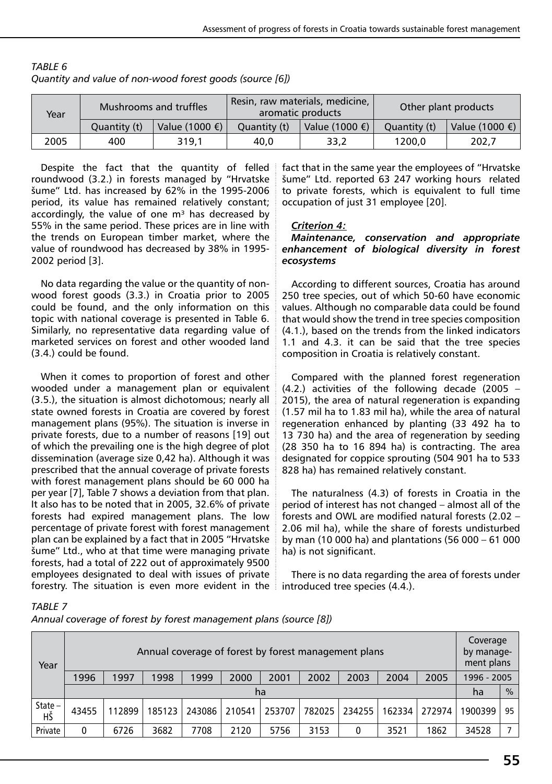| Mushrooms and truffles<br>Year |              |                          | Resin, raw materials, medicine,<br>aromatic products | Other plant products     |              |                          |
|--------------------------------|--------------|--------------------------|------------------------------------------------------|--------------------------|--------------|--------------------------|
|                                | Quantity (t) | Value (1000 $\epsilon$ ) | Ouantity (t)                                         | Value (1000 $\epsilon$ ) | Ouantity (t) | Value (1000 $\epsilon$ ) |
| 2005                           | 400          | 319.1                    | 40.0                                                 | 33.2                     | 1200.0       | 202.7                    |

| TABLE 6                                                  |
|----------------------------------------------------------|
| Quantity and value of non-wood forest goods (source [6]) |

Despite the fact that the quantity of felled roundwood (3.2.) in forests managed by "Hrvatske šume" Ltd. has increased by 62% in the 1995-2006 period, its value has remained relatively constant; accordingly, the value of one  $m<sup>3</sup>$  has decreased by 55% in the same period. These prices are in line with the trends on European timber market, where the value of roundwood has decreased by 38% in 1995- 2002 period [3].

No data regarding the value or the quantity of nonwood forest goods (3.3.) in Croatia prior to 2005 could be found, and the only information on this topic with national coverage is presented in Table 6. Similarly, no representative data regarding value of marketed services on forest and other wooded land (3.4.) could be found.

When it comes to proportion of forest and other wooded under a management plan or equivalent (3.5.), the situation is almost dichotomous; nearly all state owned forests in Croatia are covered by forest management plans (95%). The situation is inverse in private forests, due to a number of reasons [19] out of which the prevailing one is the high degree of plot dissemination (average size 0,42 ha). Although it was prescribed that the annual coverage of private forests with forest management plans should be 60 000 ha per year [7], Table 7 shows a deviation from that plan. It also has to be noted that in 2005, 32.6% of private forests had expired management plans. The low percentage of private forest with forest management plan can be explained by a fact that in 2005 "Hrvatske šume" Ltd., who at that time were managing private forests, had a total of 222 out of approximately 9500 employees designated to deal with issues of private forestry. The situation is even more evident in the

fact that in the same year the employees of "Hrvatske šume" Ltd. reported 63 247 working hours related to private forests, which is equivalent to full time occupation of just 31 employee [20].

#### *Criterion 4:*

#### *Maintenance, conservation and appropriate enhancement of biological diversity in forest ecosystems*

According to different sources, Croatia has around 250 tree species, out of which 50-60 have economic values. Although no comparable data could be found that would show the trend in tree species composition (4.1.), based on the trends from the linked indicators 1.1 and 4.3. it can be said that the tree species composition in Croatia is relatively constant.

Compared with the planned forest regeneration (4.2.) activities of the following decade (2005 – 2015), the area of natural regeneration is expanding (1.57 mil ha to 1.83 mil ha), while the area of natural regeneration enhanced by planting (33 492 ha to 13 730 ha) and the area of regeneration by seeding (28 350 ha to 16 894 ha) is contracting. The area designated for coppice sprouting (504 901 ha to 533 828 ha) has remained relatively constant.

The naturalness (4.3) of forests in Croatia in the period of interest has not changed – almost all of the forests and OWL are modified natural forests (2.02 – 2.06 mil ha), while the share of forests undisturbed by man (10 000 ha) and plantations (56 000 – 61 000 ha) is not significant.

There is no data regarding the area of forests under introduced tree species (4.4.).

*Table 7*

*Annual coverage of forest by forest management plans (source [8])*

| Year         | Annual coverage of forest by forest management plans                         |        |        |        |        |        |        | Coverage<br>by manage-<br>ment plans |             |        |         |               |
|--------------|------------------------------------------------------------------------------|--------|--------|--------|--------|--------|--------|--------------------------------------|-------------|--------|---------|---------------|
|              | 1998<br>1999<br>2000<br>2003<br>1996<br>1997<br>2001<br>2002<br>2004<br>2005 |        |        |        |        |        |        |                                      | 1996 - 2005 |        |         |               |
|              |                                                                              |        |        |        |        | ha     |        |                                      |             |        | ha      | $\frac{9}{6}$ |
| State-<br>HŠ | 43455                                                                        | 112899 | 185123 | 243086 | 210541 | 253707 | 782025 | 234255                               | 162334      | 272974 | 1900399 | 95            |
| Private      | 0                                                                            | 6726   | 3682   | 7708   | 2120   | 5756   | 3153   | 0                                    | 3521        | 1862   | 34528   |               |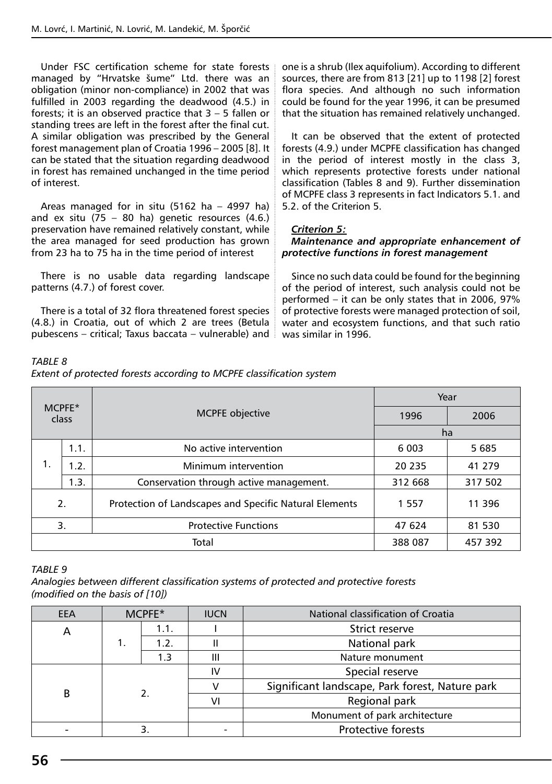Under FSC certification scheme for state forests managed by "Hrvatske šume" Ltd. there was an obligation (minor non-compliance) in 2002 that was fulfilled in 2003 regarding the deadwood (4.5.) in forests; it is an observed practice that 3 – 5 fallen or standing trees are left in the forest after the final cut. A similar obligation was prescribed by the General forest management plan of Croatia 1996 – 2005 [8]. It can be stated that the situation regarding deadwood in forest has remained unchanged in the time period of interest.

Areas managed for in situ (5162 ha – 4997 ha) and ex situ  $(75 - 80$  ha) genetic resources  $(4.6.)$ preservation have remained relatively constant, while the area managed for seed production has grown from 23 ha to 75 ha in the time period of interest

There is no usable data regarding landscape patterns (4.7.) of forest cover.

There is a total of 32 flora threatened forest species (4.8.) in Croatia, out of which 2 are trees (Betula pubescens – critical; Taxus baccata – vulnerable) and

one is a shrub (Ilex aquifolium). According to different sources, there are from 813 [21] up to 1198 [2] forest flora species. And although no such information could be found for the year 1996, it can be presumed that the situation has remained relatively unchanged.

It can be observed that the extent of protected forests (4.9.) under MCPFE classification has changed in the period of interest mostly in the class 3, which represents protective forests under national classification (Tables 8 and 9). Further dissemination of MCPFE class 3 represents in fact Indicators 5.1. and 5.2. of the Criterion 5.

#### *Criterion 5:*

#### *Maintenance and appropriate enhancement of protective functions in forest management*

Since no such data could be found for the beginning of the period of interest, such analysis could not be performed – it can be only states that in 2006, 97% of protective forests were managed protection of soil, water and ecosystem functions, and that such ratio was similar in 1996.

| $MC$ PFF $*$<br>class |      |                                                        | Year    |         |  |
|-----------------------|------|--------------------------------------------------------|---------|---------|--|
|                       |      | <b>MCPFE</b> objective                                 | 1996    | 2006    |  |
|                       |      |                                                        | ha      |         |  |
|                       | 1.1. | No active intervention                                 | 6 0 03  | 5 6 8 5 |  |
| 1.                    | 1.2. | Minimum intervention                                   | 20 235  | 41 279  |  |
|                       | 1.3. | Conservation through active management.                | 312 668 | 317 502 |  |
| 2.                    |      | Protection of Landscapes and Specific Natural Elements | 1 5 5 7 | 11 396  |  |
| 3.                    |      | <b>Protective Functions</b>                            |         | 81 530  |  |
|                       |      | Total                                                  | 388 087 | 457 392 |  |

## *Table 9*

*Analogies between different classification systems of protected and protective forests (modified on the basis of [10])*

| EEA | $MC$ PFE $*$ |      | <b>IUCN</b> | National classification of Croatia              |  |
|-----|--------------|------|-------------|-------------------------------------------------|--|
| A   | 1.1.         |      |             | Strict reserve                                  |  |
|     |              | 1.2. | II          | National park                                   |  |
|     |              | 1.3  | Ш           | Nature monument                                 |  |
|     |              |      | IV          | Special reserve                                 |  |
| B   |              |      |             | Significant landscape, Park forest, Nature park |  |
|     |              |      | ۷ı          | Regional park                                   |  |
|     |              |      |             | Monument of park architecture                   |  |
|     |              |      |             | <b>Protective forests</b>                       |  |

## *Table 8*

|  |  | Extent of protected forests according to MCPFE classification system |  |
|--|--|----------------------------------------------------------------------|--|
|  |  |                                                                      |  |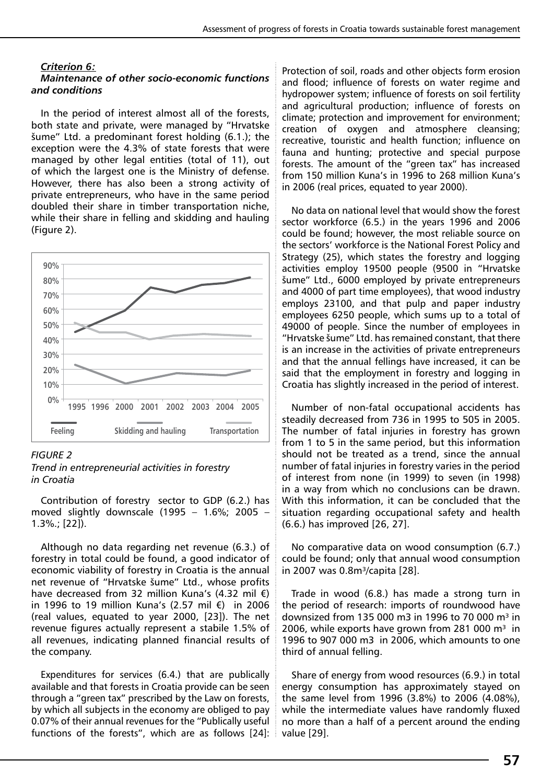#### *Criterion 6:*

#### *Maintenance of other socio-economic functions and conditions*

In the period of interest almost all of the forests, both state and private, were managed by "Hrvatske šume" Ltd. a predominant forest holding (6.1.); the exception were the 4.3% of state forests that were managed by other legal entities (total of 11), out of which the largest one is the Ministry of defense. However, there has also been a strong activity of private entrepreneurs, who have in the same period doubled their share in timber transportation niche, while their share in felling and skidding and hauling (Figure 2).



#### *Figure 2*

*Trend in entrepreneurial activities in forestry in Croatia*

Contribution of forestry sector to GDP (6.2.) has moved slightly downscale (1995 – 1.6%; 2005 – 1.3%.; [22]).

Although no data regarding net revenue (6.3.) of forestry in total could be found, a good indicator of economic viability of forestry in Croatia is the annual net revenue of "Hrvatske šume" Ltd., whose profits have decreased from 32 million Kuna's (4.32 mil €) in 1996 to 19 million Kuna's (2.57 mil €) in 2006 (real values, equated to year 2000, [23]). The net revenue figures actually represent a stabile 1.5% of all revenues, indicating planned financial results of the company.

Expenditures for services (6.4.) that are publically available and that forests in Croatia provide can be seen through a "green tax" prescribed by the Law on forests, by which all subjects in the economy are obliged to pay 0.07% of their annual revenues for the "Publically useful functions of the forests", which are as follows [24]: Protection of soil, roads and other objects form erosion and flood; influence of forests on water regime and hydropower system; influence of forests on soil fertility and agricultural production; influence of forests on climate; protection and improvement for environment; creation of oxygen and atmosphere cleansing; recreative, touristic and health function; influence on fauna and hunting; protective and special purpose forests. The amount of the "green tax" has increased from 150 million Kuna's in 1996 to 268 million Kuna's in 2006 (real prices, equated to year 2000).

No data on national level that would show the forest sector workforce (6.5.) in the years 1996 and 2006 could be found; however, the most reliable source on the sectors' workforce is the National Forest Policy and Strategy (25), which states the forestry and logging activities employ 19500 people (9500 in "Hrvatske šume" Ltd., 6000 employed by private entrepreneurs and 4000 of part time employees), that wood industry employs 23100, and that pulp and paper industry employees 6250 people, which sums up to a total of 49000 of people. Since the number of employees in "Hrvatske šume" Ltd. has remained constant, that there is an increase in the activities of private entrepreneurs and that the annual fellings have increased, it can be said that the employment in forestry and logging in Croatia has slightly increased in the period of interest.

Number of non-fatal occupational accidents has steadily decreased from 736 in 1995 to 505 in 2005. The number of fatal injuries in forestry has grown from 1 to 5 in the same period, but this information should not be treated as a trend, since the annual number of fatal injuries in forestry varies in the period of interest from none (in 1999) to seven (in 1998) in a way from which no conclusions can be drawn. With this information, it can be concluded that the situation regarding occupational safety and health (6.6.) has improved [26, 27].

No comparative data on wood consumption (6.7.) could be found; only that annual wood consumption in 2007 was 0.8m<sup>3</sup>/capita [28].

Trade in wood (6.8.) has made a strong turn in the period of research: imports of roundwood have downsized from 135 000 m3 in 1996 to 70 000 m<sup>3</sup> in 2006, while exports have grown from 281 000  $m<sup>3</sup>$  in 1996 to 907 000 m3 in 2006, which amounts to one third of annual felling.

Share of energy from wood resources (6.9.) in total energy consumption has approximately stayed on the same level from 1996 (3.8%) to 2006 (4.08%), while the intermediate values have randomly fluxed no more than a half of a percent around the ending value [29].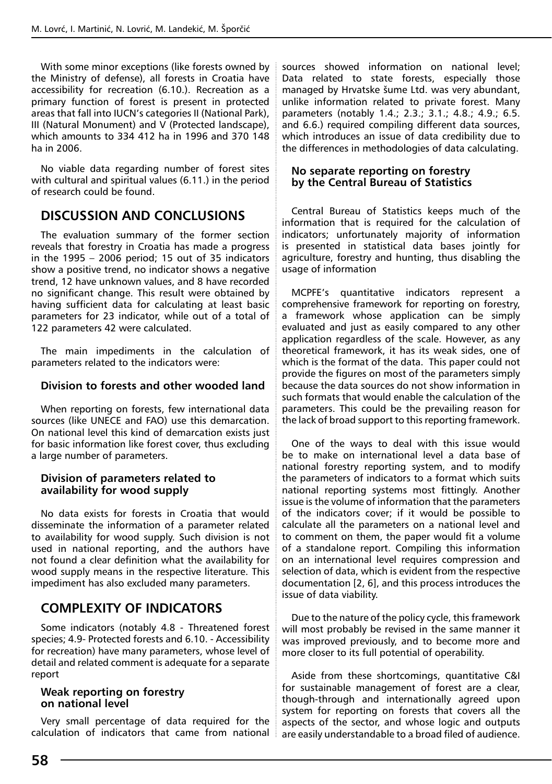With some minor exceptions (like forests owned by the Ministry of defense), all forests in Croatia have accessibility for recreation (6.10.). Recreation as a primary function of forest is present in protected areas that fall into IUCN's categories II (National Park), III (Natural Monument) and V (Protected landscape), which amounts to 334 412 ha in 1996 and 370 148 ha in 2006.

No viable data regarding number of forest sites with cultural and spiritual values (6.11.) in the period of research could be found.

## **DISCUSSION AND CONCLUSIONS**

The evaluation summary of the former section reveals that forestry in Croatia has made a progress in the 1995 – 2006 period; 15 out of 35 indicators show a positive trend, no indicator shows a negative trend, 12 have unknown values, and 8 have recorded no significant change. This result were obtained by having sufficient data for calculating at least basic parameters for 23 indicator, while out of a total of 122 parameters 42 were calculated.

The main impediments in the calculation of parameters related to the indicators were:

#### **Division to forests and other wooded land**

When reporting on forests, few international data sources (like UNECE and FAO) use this demarcation. On national level this kind of demarcation exists just for basic information like forest cover, thus excluding a large number of parameters.

#### **Division of parameters related to availability for wood supply**

No data exists for forests in Croatia that would disseminate the information of a parameter related to availability for wood supply. Such division is not used in national reporting, and the authors have not found a clear definition what the availability for wood supply means in the respective literature. This impediment has also excluded many parameters.

## **Complexity of indicators**

Some indicators (notably 4.8 - Threatened forest species; 4.9- Protected forests and 6.10. - Accessibility for recreation) have many parameters, whose level of detail and related comment is adequate for a separate report

#### **Weak reporting on forestry on national level**

Very small percentage of data required for the calculation of indicators that came from national sources showed information on national level; Data related to state forests, especially those managed by Hrvatske šume Ltd. was very abundant, unlike information related to private forest. Many parameters (notably 1.4.; 2.3.; 3.1.; 4.8.; 4.9.; 6.5. and 6.6.) required compiling different data sources, which introduces an issue of data credibility due to the differences in methodologies of data calculating.

#### **No separate reporting on forestry by the Central Bureau of Statistics**

Central Bureau of Statistics keeps much of the information that is required for the calculation of indicators; unfortunately majority of information is presented in statistical data bases jointly for agriculture, forestry and hunting, thus disabling the usage of information

MCPFE's quantitative indicators represent a comprehensive framework for reporting on forestry, a framework whose application can be simply evaluated and just as easily compared to any other application regardless of the scale. However, as any theoretical framework, it has its weak sides, one of which is the format of the data. This paper could not provide the figures on most of the parameters simply because the data sources do not show information in such formats that would enable the calculation of the parameters. This could be the prevailing reason for the lack of broad support to this reporting framework.

One of the ways to deal with this issue would be to make on international level a data base of national forestry reporting system, and to modify the parameters of indicators to a format which suits national reporting systems most fittingly. Another issue is the volume of information that the parameters of the indicators cover; if it would be possible to calculate all the parameters on a national level and to comment on them, the paper would fit a volume of a standalone report. Compiling this information on an international level requires compression and selection of data, which is evident from the respective documentation [2, 6], and this process introduces the issue of data viability.

Due to the nature of the policy cycle, this framework will most probably be revised in the same manner it was improved previously, and to become more and more closer to its full potential of operability.

Aside from these shortcomings, quantitative C&I for sustainable management of forest are a clear, though-through and internationally agreed upon system for reporting on forests that covers all the aspects of the sector, and whose logic and outputs are easily understandable to a broad filed of audience.